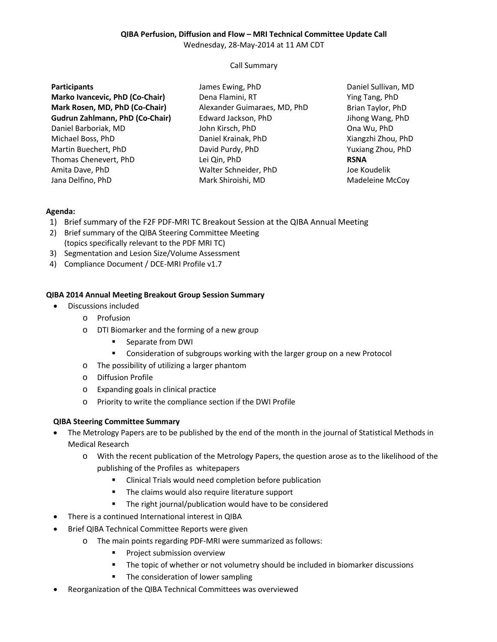# **QIBA Perfusion, Diffusion and Flow – MRI Technical Committee Update Call**

Wednesday, 28-May-2014 at 11 AM CDT

## Call Summary

| <b>Participants</b>                    | James Ewing, PhD             |
|----------------------------------------|------------------------------|
| Marko Ivancevic, PhD (Co-Chair)        | Dena Flamini, RT             |
| Mark Rosen, MD, PhD (Co-Chair)         | Alexander Guimaraes, MD, PhD |
| <b>Gudrun Zahlmann, PhD (Co-Chair)</b> | Edward Jackson, PhD          |
| Daniel Barboriak, MD                   | John Kirsch, PhD             |
| Michael Boss, PhD                      | Daniel Krainak, PhD          |
| Martin Buechert, PhD                   | David Purdy, PhD             |
| Thomas Chenevert, PhD                  | Lei Qin, PhD                 |
| Amita Dave, PhD                        | Walter Schneider, PhD        |
| Jana Delfino, PhD                      | Mark Shiroishi, MD           |

Daniel Sullivan, MD Ying Tang, PhD Brian Taylor, PhD Jihong Wang, PhD Ona Wu, PhD Xiangzhi Zhou, PhD Yuxiang Zhou, PhD **RSNA** Joe Koudelik Madeleine McCoy

#### **Agenda:**

- 1) Brief summary of the F2F PDF-MRI TC Breakout Session at the QIBA Annual Meeting
- 2) Brief summary of the QIBA Steering Committee Meeting (topics specifically relevant to the PDF MRI TC)
- 3) Segmentation and Lesion Size/Volume Assessment
- 4) Compliance Document / DCE-MRI Profile v1.7

#### **QIBA 2014 Annual Meeting Breakout Group Session Summary**

- Discussions included
	- o Profusion
	- o DTI Biomarker and the forming of a new group
		- Separate from DWI
		- Consideration of subgroups working with the larger group on a new Protocol
	- o The possibility of utilizing a larger phantom
	- o Diffusion Profile
	- o Expanding goals in clinical practice
	- o Priority to write the compliance section if the DWI Profile

## **QIBA Steering Committee Summary**

- The Metrology Papers are to be published by the end of the month in the journal of Statistical Methods in Medical Research
	- o With the recent publication of the Metrology Papers, the question arose as to the likelihood of the publishing of the Profiles as whitepapers
		- Clinical Trials would need completion before publication
		- **The claims would also require literature support**
		- **The right journal/publication would have to be considered**
- There is a continued International interest in QIBA
- Brief QIBA Technical Committee Reports were given
	- o The main points regarding PDF-MRI were summarized as follows:
		- **Project submission overview**
		- The topic of whether or not volumetry should be included in biomarker discussions
		- The consideration of lower sampling
- Reorganization of the QIBA Technical Committees was overviewed